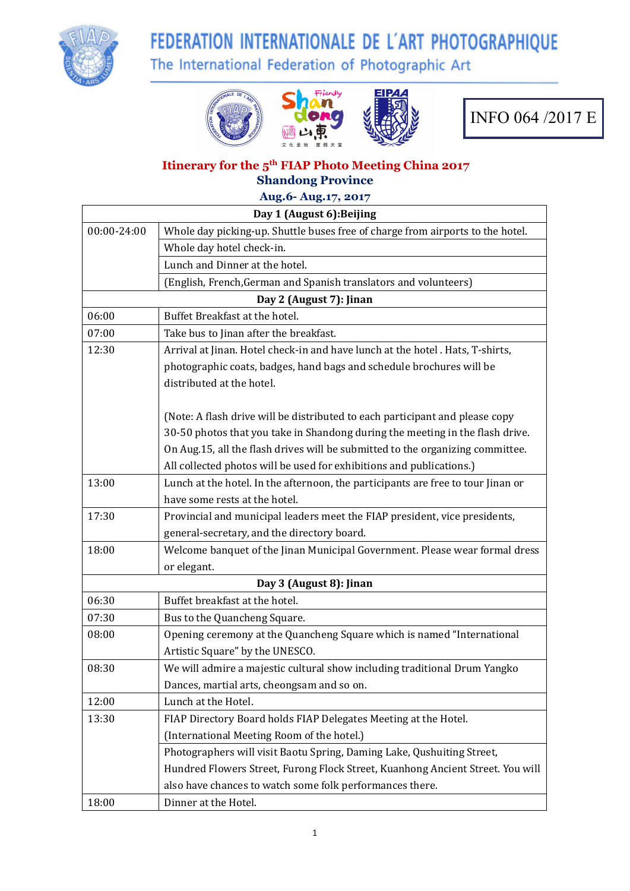

# FEDERATION INTERNATIONALE DE L'ART PHOTOGRAPHIQUE

The International Federation of Photographic Art







#### **Itinerary for the 5 th FIAP Photo Meeting China 2017 Shandong Province**

**Aug.6- Aug.17, 2017**

|             | Day 1 (August 6): Beijing                                                        |
|-------------|----------------------------------------------------------------------------------|
| 00:00-24:00 | Whole day picking-up. Shuttle buses free of charge from airports to the hotel.   |
|             | Whole day hotel check-in.                                                        |
|             | Lunch and Dinner at the hotel.                                                   |
|             | (English, French, German and Spanish translators and volunteers)                 |
|             | Day 2 (August 7): Jinan                                                          |
| 06:00       | Buffet Breakfast at the hotel.                                                   |
| 07:00       | Take bus to Jinan after the breakfast.                                           |
| 12:30       | Arrival at Jinan. Hotel check-in and have lunch at the hotel. Hats, T-shirts,    |
|             | photographic coats, badges, hand bags and schedule brochures will be             |
|             | distributed at the hotel.                                                        |
|             | (Note: A flash drive will be distributed to each participant and please copy     |
|             | 30-50 photos that you take in Shandong during the meeting in the flash drive.    |
|             | On Aug.15, all the flash drives will be submitted to the organizing committee.   |
|             | All collected photos will be used for exhibitions and publications.)             |
| 13:00       | Lunch at the hotel. In the afternoon, the participants are free to tour Jinan or |
|             | have some rests at the hotel.                                                    |
| 17:30       | Provincial and municipal leaders meet the FIAP president, vice presidents,       |
|             | general-secretary, and the directory board.                                      |
| 18:00       | Welcome banquet of the Jinan Municipal Government. Please wear formal dress      |
|             | or elegant.                                                                      |
|             | Day 3 (August 8): Jinan                                                          |
| 06:30       | Buffet breakfast at the hotel.                                                   |
| 07:30       | Bus to the Quancheng Square.                                                     |
| 08:00       | Opening ceremony at the Quancheng Square which is named "International           |
|             | Artistic Square" by the UNESCO.                                                  |
| 08:30       | We will admire a majestic cultural show including traditional Drum Yangko        |
|             | Dances, martial arts, cheongsam and so on.                                       |
| 12:00       | Lunch at the Hotel.                                                              |
| 13:30       | FIAP Directory Board holds FIAP Delegates Meeting at the Hotel.                  |
|             | (International Meeting Room of the hotel.)                                       |
|             | Photographers will visit Baotu Spring, Daming Lake, Qushuiting Street,           |
|             | Hundred Flowers Street, Furong Flock Street, Kuanhong Ancient Street. You will   |
|             | also have chances to watch some folk performances there.                         |
| 18:00       | Dinner at the Hotel.                                                             |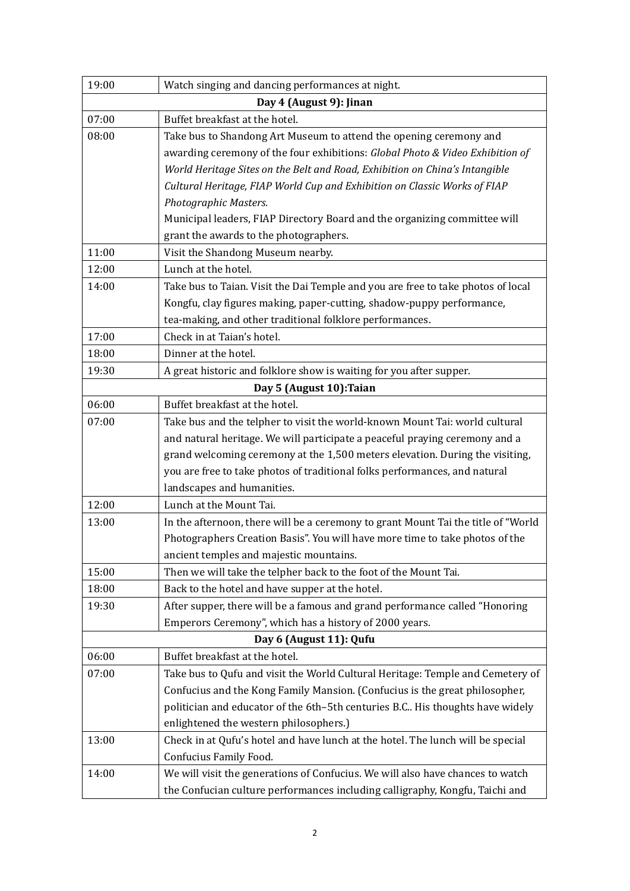| 19:00 | Watch singing and dancing performances at night.                                  |
|-------|-----------------------------------------------------------------------------------|
|       | Day 4 (August 9): Jinan                                                           |
| 07:00 | Buffet breakfast at the hotel.                                                    |
| 08:00 | Take bus to Shandong Art Museum to attend the opening ceremony and                |
|       | awarding ceremony of the four exhibitions: Global Photo & Video Exhibition of     |
|       | World Heritage Sites on the Belt and Road, Exhibition on China's Intangible       |
|       | Cultural Heritage, FIAP World Cup and Exhibition on Classic Works of FIAP         |
|       | Photographic Masters.                                                             |
|       | Municipal leaders, FIAP Directory Board and the organizing committee will         |
|       | grant the awards to the photographers.                                            |
| 11:00 | Visit the Shandong Museum nearby.                                                 |
| 12:00 | Lunch at the hotel.                                                               |
| 14:00 | Take bus to Taian. Visit the Dai Temple and you are free to take photos of local  |
|       | Kongfu, clay figures making, paper-cutting, shadow-puppy performance,             |
|       | tea-making, and other traditional folklore performances.                          |
| 17:00 | Check in at Taian's hotel.                                                        |
| 18:00 | Dinner at the hotel.                                                              |
| 19:30 | A great historic and folklore show is waiting for you after supper.               |
|       | Day 5 (August 10): Taian                                                          |
| 06:00 | Buffet breakfast at the hotel.                                                    |
| 07:00 | Take bus and the telpher to visit the world-known Mount Tai: world cultural       |
|       | and natural heritage. We will participate a peaceful praying ceremony and a       |
|       | grand welcoming ceremony at the 1,500 meters elevation. During the visiting,      |
|       | you are free to take photos of traditional folks performances, and natural        |
|       | landscapes and humanities.                                                        |
| 12:00 | Lunch at the Mount Tai.                                                           |
| 13:00 | In the afternoon, there will be a ceremony to grant Mount Tai the title of "World |
|       | Photographers Creation Basis". You will have more time to take photos of the      |
|       | ancient temples and majestic mountains.                                           |
| 15:00 | Then we will take the telpher back to the foot of the Mount Tai.                  |
| 18:00 | Back to the hotel and have supper at the hotel.                                   |
| 19:30 | After supper, there will be a famous and grand performance called "Honoring       |
|       | Emperors Ceremony", which has a history of 2000 years.                            |
|       | Day 6 (August 11): Qufu                                                           |
| 06:00 | Buffet breakfast at the hotel.                                                    |
| 07:00 | Take bus to Qufu and visit the World Cultural Heritage: Temple and Cemetery of    |
|       | Confucius and the Kong Family Mansion. (Confucius is the great philosopher,       |
|       | politician and educator of the 6th-5th centuries B.C His thoughts have widely     |
|       | enlightened the western philosophers.)                                            |
| 13:00 | Check in at Qufu's hotel and have lunch at the hotel. The lunch will be special   |
|       | Confucius Family Food.                                                            |
| 14:00 | We will visit the generations of Confucius. We will also have chances to watch    |
|       | the Confucian culture performances including calligraphy, Kongfu, Taichi and      |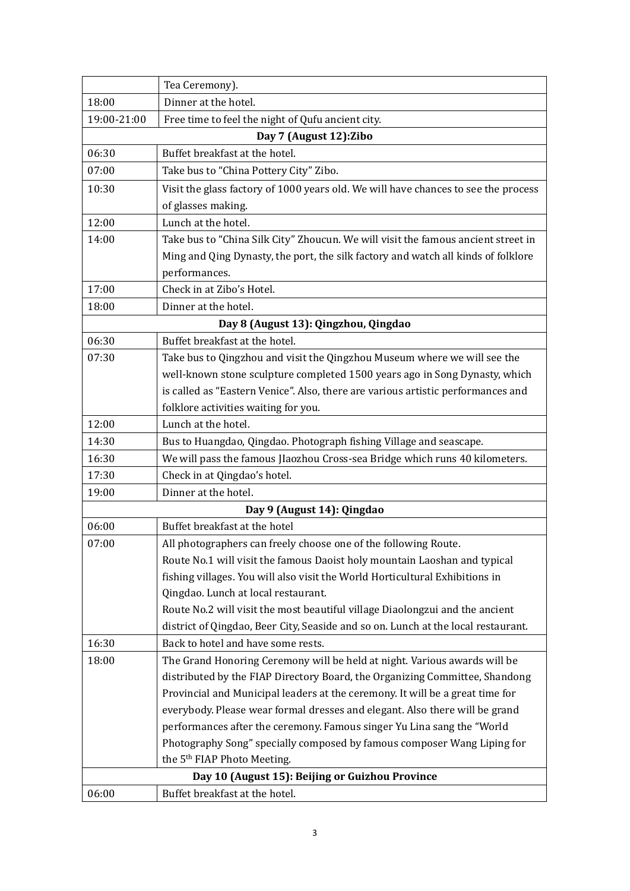|             | Tea Ceremony).                                                                     |
|-------------|------------------------------------------------------------------------------------|
| 18:00       | Dinner at the hotel.                                                               |
| 19:00-21:00 | Free time to feel the night of Qufu ancient city.                                  |
|             | Day 7 (August 12): Zibo                                                            |
| 06:30       | Buffet breakfast at the hotel.                                                     |
| 07:00       | Take bus to "China Pottery City" Zibo.                                             |
| 10:30       | Visit the glass factory of 1000 years old. We will have chances to see the process |
|             | of glasses making.                                                                 |
| 12:00       | Lunch at the hotel.                                                                |
| 14:00       | Take bus to "China Silk City" Zhoucun. We will visit the famous ancient street in  |
|             | Ming and Qing Dynasty, the port, the silk factory and watch all kinds of folklore  |
|             | performances.                                                                      |
| 17:00       | Check in at Zibo's Hotel.                                                          |
| 18:00       | Dinner at the hotel.                                                               |
|             | Day 8 (August 13): Qingzhou, Qingdao                                               |
| 06:30       | Buffet breakfast at the hotel.                                                     |
| 07:30       | Take bus to Qingzhou and visit the Qingzhou Museum where we will see the           |
|             | well-known stone sculpture completed 1500 years ago in Song Dynasty, which         |
|             | is called as "Eastern Venice". Also, there are various artistic performances and   |
|             | folklore activities waiting for you.                                               |
| 12:00       | Lunch at the hotel.                                                                |
| 14:30       | Bus to Huangdao, Qingdao. Photograph fishing Village and seascape.                 |
| 16:30       | We will pass the famous JIaozhou Cross-sea Bridge which runs 40 kilometers.        |
| 17:30       | Check in at Qingdao's hotel.                                                       |
| 19:00       | Dinner at the hotel.                                                               |
|             | Day 9 (August 14): Qingdao                                                         |
| 06:00       | Buffet breakfast at the hotel                                                      |
| 07:00       | All photographers can freely choose one of the following Route.                    |
|             | Route No.1 will visit the famous Daoist holy mountain Laoshan and typical          |
|             | fishing villages. You will also visit the World Horticultural Exhibitions in       |
|             | Qingdao. Lunch at local restaurant.                                                |
|             | Route No.2 will visit the most beautiful village Diaolongzui and the ancient       |
|             | district of Qingdao, Beer City, Seaside and so on. Lunch at the local restaurant.  |
| 16:30       | Back to hotel and have some rests.                                                 |
| 18:00       | The Grand Honoring Ceremony will be held at night. Various awards will be          |
|             | distributed by the FIAP Directory Board, the Organizing Committee, Shandong        |
|             | Provincial and Municipal leaders at the ceremony. It will be a great time for      |
|             | everybody. Please wear formal dresses and elegant. Also there will be grand        |
|             | performances after the ceremony. Famous singer Yu Lina sang the "World             |
|             | Photography Song" specially composed by famous composer Wang Liping for            |
|             | the 5 <sup>th</sup> FIAP Photo Meeting.                                            |
|             | Day 10 (August 15): Beijing or Guizhou Province                                    |
| 06:00       | Buffet breakfast at the hotel.                                                     |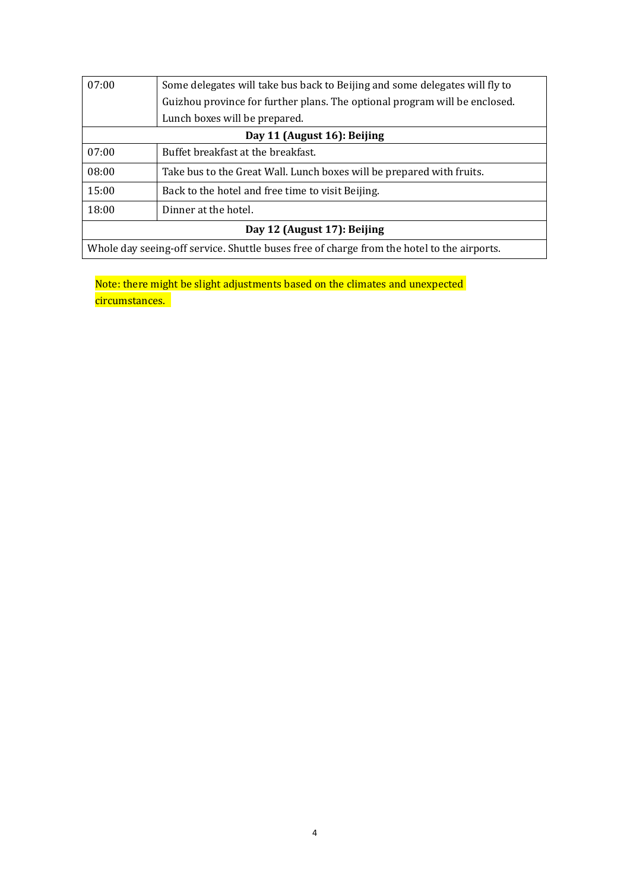| 07:00                                                                                      | Some delegates will take bus back to Beijing and some delegates will fly to |  |
|--------------------------------------------------------------------------------------------|-----------------------------------------------------------------------------|--|
|                                                                                            | Guizhou province for further plans. The optional program will be enclosed.  |  |
|                                                                                            | Lunch boxes will be prepared.                                               |  |
| Day 11 (August 16): Beijing                                                                |                                                                             |  |
| 07:00                                                                                      | Buffet breakfast at the breakfast.                                          |  |
| 08:00                                                                                      | Take bus to the Great Wall. Lunch boxes will be prepared with fruits.       |  |
| 15:00                                                                                      | Back to the hotel and free time to visit Beijing.                           |  |
| 18:00                                                                                      | Dinner at the hotel.                                                        |  |
| Day 12 (August 17): Beijing                                                                |                                                                             |  |
| Whole day seeing-off service. Shuttle buses free of charge from the hotel to the airports. |                                                                             |  |

Note: there might be slight adjustments based on the climates and unexpected circumstances.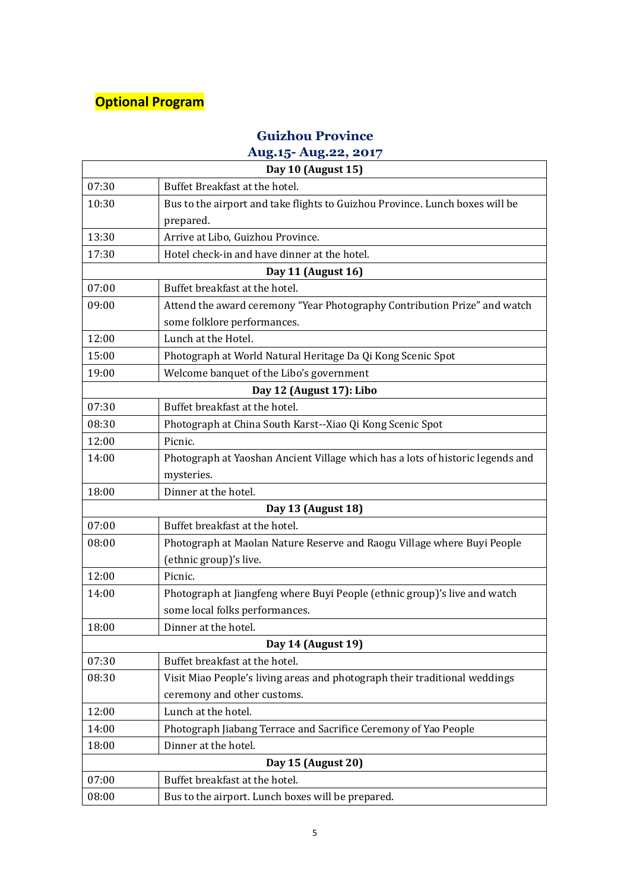## **Optional Program**

#### **Guizhou Province**

### **Aug.15- Aug.22, 2017**

|       | Day 10 (August 15)                                                             |
|-------|--------------------------------------------------------------------------------|
| 07:30 | Buffet Breakfast at the hotel.                                                 |
| 10:30 | Bus to the airport and take flights to Guizhou Province. Lunch boxes will be   |
|       | prepared.                                                                      |
| 13:30 | Arrive at Libo, Guizhou Province.                                              |
| 17:30 | Hotel check-in and have dinner at the hotel.                                   |
|       | Day 11 (August 16)                                                             |
| 07:00 | Buffet breakfast at the hotel.                                                 |
| 09:00 | Attend the award ceremony "Year Photography Contribution Prize" and watch      |
|       | some folklore performances.                                                    |
| 12:00 | Lunch at the Hotel.                                                            |
| 15:00 | Photograph at World Natural Heritage Da Qi Kong Scenic Spot                    |
| 19:00 | Welcome banquet of the Libo's government                                       |
|       | Day 12 (August 17): Libo                                                       |
| 07:30 | Buffet breakfast at the hotel.                                                 |
| 08:30 | Photograph at China South Karst--Xiao Qi Kong Scenic Spot                      |
| 12:00 | Picnic.                                                                        |
| 14:00 | Photograph at Yaoshan Ancient Village which has a lots of historic legends and |
|       | mysteries.                                                                     |
| 18:00 | Dinner at the hotel.                                                           |
|       | Day 13 (August 18)                                                             |
| 07:00 | Buffet breakfast at the hotel.                                                 |
| 08:00 | Photograph at Maolan Nature Reserve and Raogu Village where Buyi People        |
|       | (ethnic group)'s live.                                                         |
| 12:00 | Picnic.                                                                        |
| 14:00 | Photograph at Jiangfeng where Buyi People (ethnic group)'s live and watch      |
|       | some local folks performances.                                                 |
| 18:00 | Dinner at the hotel.                                                           |
|       | Day 14 (August 19)                                                             |
| 07:30 | Buffet breakfast at the hotel.                                                 |
| 08:30 | Visit Miao People's living areas and photograph their traditional weddings     |
|       | ceremony and other customs.                                                    |
| 12:00 | Lunch at the hotel.                                                            |
| 14:00 | Photograph Jiabang Terrace and Sacrifice Ceremony of Yao People                |
| 18:00 | Dinner at the hotel.                                                           |
|       | Day 15 (August 20)                                                             |
| 07:00 | Buffet breakfast at the hotel.                                                 |
| 08:00 | Bus to the airport. Lunch boxes will be prepared.                              |